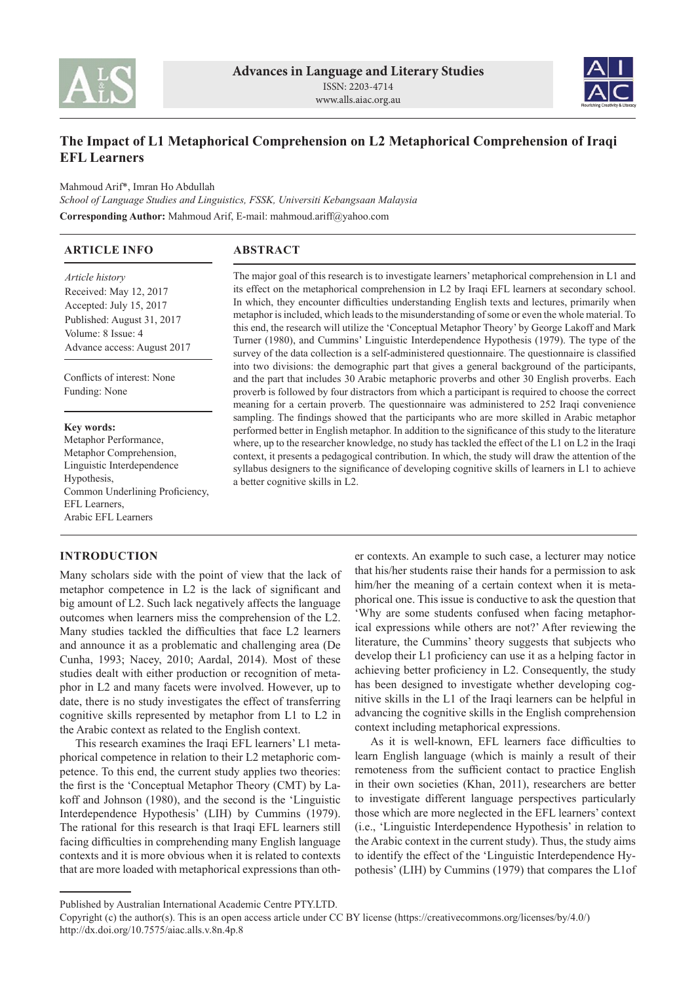



# **The Impact of L1 Metaphorical Comprehension on L2 Metaphorical Comprehension of Iraqi EFL Learners**

Mahmoud Arif\*, Imran Ho Abdullah *School of Language Studies and Linguistics, FSSK, Universiti Kebangsaan Malaysia* **Corresponding Author:** Mahmoud Arif, E-mail: mahmoud.ariff@yahoo.com

| <b>ARTICLE INFO</b>                                                                                                                                                    | <b>ABSTRACT</b>                                                                                                                                                                                                                                                                                                                                                                                                                                                                                                                                                                                                                                                                                                                                                                                                                                                                                                                                                                                                                                                                                                    |
|------------------------------------------------------------------------------------------------------------------------------------------------------------------------|--------------------------------------------------------------------------------------------------------------------------------------------------------------------------------------------------------------------------------------------------------------------------------------------------------------------------------------------------------------------------------------------------------------------------------------------------------------------------------------------------------------------------------------------------------------------------------------------------------------------------------------------------------------------------------------------------------------------------------------------------------------------------------------------------------------------------------------------------------------------------------------------------------------------------------------------------------------------------------------------------------------------------------------------------------------------------------------------------------------------|
| <i>Article history</i><br>Received: May 12, 2017<br>Accepted: July 15, 2017<br>Published: August 31, 2017<br>Volume: 8 Issue: 4<br>Advance access: August 2017         | The major goal of this research is to investigate learners' metaphorical comprehension in L1 and<br>its effect on the metaphorical comprehension in L2 by Iraqi EFL learners at secondary school.<br>In which, they encounter difficulties understanding English texts and lectures, primarily when<br>metaphor is included, which leads to the misunderstanding of some or even the whole material. To<br>this end, the research will utilize the 'Conceptual Metaphor Theory' by George Lakoff and Mark<br>Turner (1980), and Cummins' Linguistic Interdependence Hypothesis (1979). The type of the<br>survey of the data collection is a self-administered questionnaire. The questionnaire is classified<br>into two divisions: the demographic part that gives a general background of the participants,<br>and the part that includes 30 Arabic metaphoric proverbs and other 30 English proverbs. Each<br>proverb is followed by four distractors from which a participant is required to choose the correct<br>meaning for a certain proverb. The questionnaire was administered to 252 Iraqi convenience |
| Conflicts of interest: None<br>Funding: None                                                                                                                           |                                                                                                                                                                                                                                                                                                                                                                                                                                                                                                                                                                                                                                                                                                                                                                                                                                                                                                                                                                                                                                                                                                                    |
| <b>Key words:</b><br>Metaphor Performance,<br>Metaphor Comprehension,<br>Linguistic Interdependence<br>Hypothesis,<br>Common Underlining Proficiency,<br>EFL Learners. | sampling. The findings showed that the participants who are more skilled in Arabic metaphor<br>performed better in English metaphor. In addition to the significance of this study to the literature<br>where, up to the researcher knowledge, no study has tackled the effect of the L1 on L2 in the Iraqi<br>context, it presents a pedagogical contribution. In which, the study will draw the attention of the<br>syllabus designers to the significance of developing cognitive skills of learners in L1 to achieve<br>a better cognitive skills in L2.                                                                                                                                                                                                                                                                                                                                                                                                                                                                                                                                                       |

**INTRODUCTION**

Arabic EFL Learners

Many scholars side with the point of view that the lack of metaphor competence in L2 is the lack of significant and big amount of L2. Such lack negatively affects the language outcomes when learners miss the comprehension of the L2. Many studies tackled the difficulties that face L2 learners and announce it as a problematic and challenging area (De Cunha, 1993; Nacey, 2010; Aardal, 2014). Most of these studies dealt with either production or recognition of metaphor in L2 and many facets were involved. However, up to date, there is no study investigates the effect of transferring cognitive skills represented by metaphor from L1 to L2 in the Arabic context as related to the English context.

This research examines the Iraqi EFL learners' L1 metaphorical competence in relation to their L2 metaphoric competence. To this end, the current study applies two theories: the first is the 'Conceptual Metaphor Theory (CMT) by Lakoff and Johnson (1980), and the second is the 'Linguistic Interdependence Hypothesis' (LIH) by Cummins (1979). The rational for this research is that Iraqi EFL learners still facing difficulties in comprehending many English language contexts and it is more obvious when it is related to contexts that are more loaded with metaphorical expressions than other contexts. An example to such case, a lecturer may notice that his/her students raise their hands for a permission to ask him/her the meaning of a certain context when it is metaphorical one. This issue is conductive to ask the question that 'Why are some students confused when facing metaphorical expressions while others are not?' After reviewing the literature, the Cummins' theory suggests that subjects who develop their L1 proficiency can use it as a helping factor in achieving better proficiency in L2. Consequently, the study has been designed to investigate whether developing cognitive skills in the L1 of the Iraqi learners can be helpful in advancing the cognitive skills in the English comprehension context including metaphorical expressions.

As it is well-known, EFL learners face difficulties to learn English language (which is mainly a result of their remoteness from the sufficient contact to practice English in their own societies (Khan, 2011), researchers are better to investigate different language perspectives particularly those which are more neglected in the EFL learners' context (i.e., 'Linguistic Interdependence Hypothesis' in relation to the Arabic context in the current study). Thus, the study aims to identify the effect of the 'Linguistic Interdependence Hypothesis' (LIH) by Cummins (1979) that compares the L1of

Published by Australian International Academic Centre PTY.LTD.

Copyright (c) the author(s). This is an open access article under CC BY license (https://creativecommons.org/licenses/by/4.0/) http://dx.doi.org/10.7575/aiac.alls.v.8n.4p.8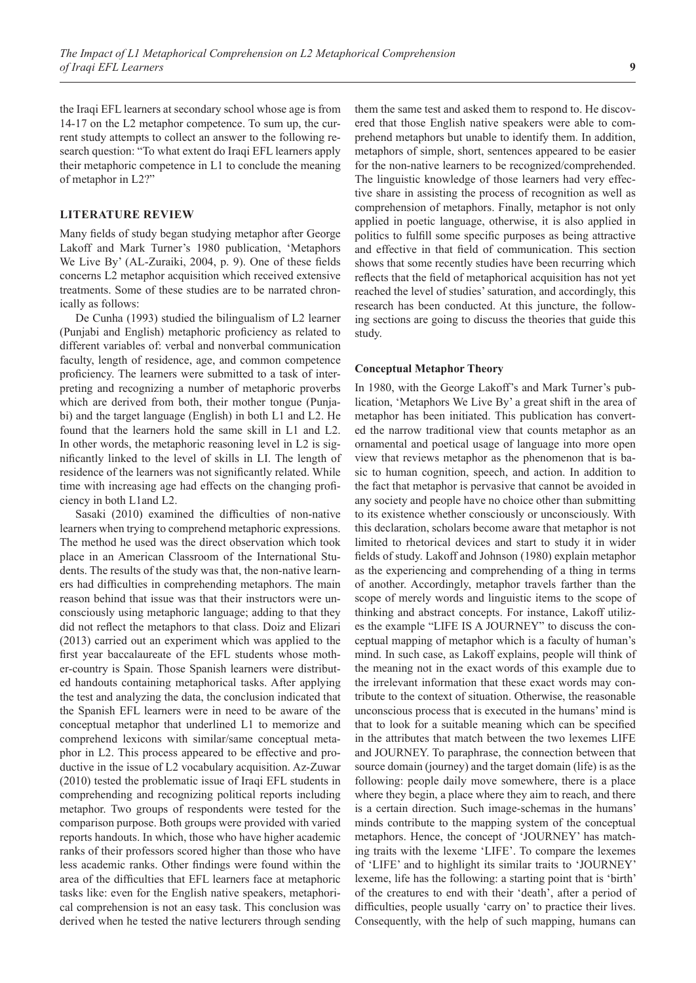the Iraqi EFL learners at secondary school whose age is from 14-17 on the L2 metaphor competence. To sum up, the current study attempts to collect an answer to the following research question: "To what extent do Iraqi EFL learners apply their metaphoric competence in L1 to conclude the meaning of metaphor in L2?"

### **LITERATURE REVIEW**

Many fields of study began studying metaphor after George Lakoff and Mark Turner's 1980 publication, 'Metaphors We Live By' (AL-Zuraiki, 2004, p. 9). One of these fields concerns L2 metaphor acquisition which received extensive treatments. Some of these studies are to be narrated chronically as follows:

De Cunha (1993) studied the bilingualism of L2 learner (Punjabi and English) metaphoric proficiency as related to different variables of: verbal and nonverbal communication faculty, length of residence, age, and common competence proficiency. The learners were submitted to a task of interpreting and recognizing a number of metaphoric proverbs which are derived from both, their mother tongue (Punjabi) and the target language (English) in both L1 and L2. He found that the learners hold the same skill in L1 and L2. In other words, the metaphoric reasoning level in L2 is significantly linked to the level of skills in LI. The length of residence of the learners was not significantly related. While time with increasing age had effects on the changing proficiency in both L1and L2.

Sasaki (2010) examined the difficulties of non-native learners when trying to comprehend metaphoric expressions. The method he used was the direct observation which took place in an American Classroom of the International Students. The results of the study was that, the non-native learners had difficulties in comprehending metaphors. The main reason behind that issue was that their instructors were unconsciously using metaphoric language; adding to that they did not reflect the metaphors to that class. Doiz and Elizari (2013) carried out an experiment which was applied to the first year baccalaureate of the EFL students whose mother-country is Spain. Those Spanish learners were distributed handouts containing metaphorical tasks. After applying the test and analyzing the data, the conclusion indicated that the Spanish EFL learners were in need to be aware of the conceptual metaphor that underlined L1 to memorize and comprehend lexicons with similar/same conceptual metaphor in L2. This process appeared to be effective and productive in the issue of L2 vocabulary acquisition. Az-Zuwar (2010) tested the problematic issue of Iraqi EFL students in comprehending and recognizing political reports including metaphor. Two groups of respondents were tested for the comparison purpose. Both groups were provided with varied reports handouts. In which, those who have higher academic ranks of their professors scored higher than those who have less academic ranks. Other findings were found within the area of the difficulties that EFL learners face at metaphoric tasks like: even for the English native speakers, metaphorical comprehension is not an easy task. This conclusion was derived when he tested the native lecturers through sending

them the same test and asked them to respond to. He discovered that those English native speakers were able to comprehend metaphors but unable to identify them. In addition, metaphors of simple, short, sentences appeared to be easier for the non-native learners to be recognized/comprehended. The linguistic knowledge of those learners had very effective share in assisting the process of recognition as well as comprehension of metaphors. Finally, metaphor is not only applied in poetic language, otherwise, it is also applied in politics to fulfill some specific purposes as being attractive and effective in that field of communication. This section shows that some recently studies have been recurring which reflects that the field of metaphorical acquisition has not yet reached the level of studies' saturation, and accordingly, this research has been conducted. At this juncture, the following sections are going to discuss the theories that guide this study.

#### **Conceptual Metaphor Theory**

In 1980, with the George Lakoff's and Mark Turner's publication, 'Metaphors We Live By' a great shift in the area of metaphor has been initiated. This publication has converted the narrow traditional view that counts metaphor as an ornamental and poetical usage of language into more open view that reviews metaphor as the phenomenon that is basic to human cognition, speech, and action. In addition to the fact that metaphor is pervasive that cannot be avoided in any society and people have no choice other than submitting to its existence whether consciously or unconsciously. With this declaration, scholars become aware that metaphor is not limited to rhetorical devices and start to study it in wider fields of study. Lakoff and Johnson (1980) explain metaphor as the experiencing and comprehending of a thing in terms of another. Accordingly, metaphor travels farther than the scope of merely words and linguistic items to the scope of thinking and abstract concepts. For instance, Lakoff utilizes the example "LIFE IS A JOURNEY" to discuss the conceptual mapping of metaphor which is a faculty of human's mind. In such case, as Lakoff explains, people will think of the meaning not in the exact words of this example due to the irrelevant information that these exact words may contribute to the context of situation. Otherwise, the reasonable unconscious process that is executed in the humans' mind is that to look for a suitable meaning which can be specified in the attributes that match between the two lexemes LIFE and JOURNEY. To paraphrase, the connection between that source domain (journey) and the target domain (life) is as the following: people daily move somewhere, there is a place where they begin, a place where they aim to reach, and there is a certain direction. Such image-schemas in the humans' minds contribute to the mapping system of the conceptual metaphors. Hence, the concept of 'JOURNEY' has matching traits with the lexeme 'LIFE'. To compare the lexemes of 'LIFE' and to highlight its similar traits to 'JOURNEY' lexeme, life has the following: a starting point that is 'birth' of the creatures to end with their 'death', after a period of difficulties, people usually 'carry on' to practice their lives. Consequently, with the help of such mapping, humans can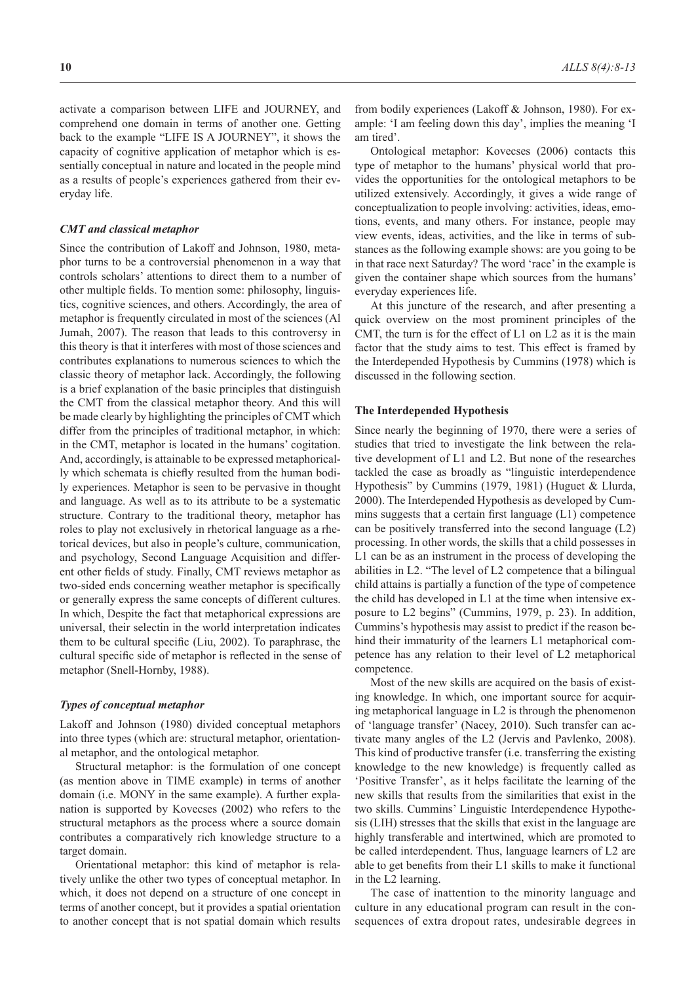activate a comparison between LIFE and JOURNEY, and comprehend one domain in terms of another one. Getting back to the example "LIFE IS A JOURNEY", it shows the capacity of cognitive application of metaphor which is essentially conceptual in nature and located in the people mind as a results of people's experiences gathered from their everyday life.

### *CMT and classical metaphor*

Since the contribution of Lakoff and Johnson, 1980, metaphor turns to be a controversial phenomenon in a way that controls scholars' attentions to direct them to a number of other multiple fields. To mention some: philosophy, linguistics, cognitive sciences, and others. Accordingly, the area of metaphor is frequently circulated in most of the sciences (Al Jumah, 2007). The reason that leads to this controversy in this theory is that it interferes with most of those sciences and contributes explanations to numerous sciences to which the classic theory of metaphor lack. Accordingly, the following is a brief explanation of the basic principles that distinguish the CMT from the classical metaphor theory. And this will be made clearly by highlighting the principles of CMT which differ from the principles of traditional metaphor, in which: in the CMT, metaphor is located in the humans' cogitation. And, accordingly, is attainable to be expressed metaphorically which schemata is chiefly resulted from the human bodily experiences. Metaphor is seen to be pervasive in thought and language. As well as to its attribute to be a systematic structure. Contrary to the traditional theory, metaphor has roles to play not exclusively in rhetorical language as a rhetorical devices, but also in people's culture, communication, and psychology, Second Language Acquisition and different other fields of study. Finally, CMT reviews metaphor as two-sided ends concerning weather metaphor is specifically or generally express the same concepts of different cultures. In which, Despite the fact that metaphorical expressions are universal, their selectin in the world interpretation indicates them to be cultural specific (Liu, 2002). To paraphrase, the cultural specific side of metaphor is reflected in the sense of metaphor (Snell-Hornby, 1988).

#### *Types of conceptual metaphor*

Lakoff and Johnson (1980) divided conceptual metaphors into three types (which are: structural metaphor, orientational metaphor, and the ontological metaphor.

Structural metaphor: is the formulation of one concept (as mention above in TIME example) in terms of another domain (i.e. MONY in the same example). A further explanation is supported by Kovecses (2002) who refers to the structural metaphors as the process where a source domain contributes a comparatively rich knowledge structure to a target domain.

Orientational metaphor: this kind of metaphor is relatively unlike the other two types of conceptual metaphor. In which, it does not depend on a structure of one concept in terms of another concept, but it provides a spatial orientation to another concept that is not spatial domain which results from bodily experiences (Lakoff & Johnson, 1980). For example: 'I am feeling down this day', implies the meaning 'I am tired'.

Ontological metaphor: Kovecses (2006) contacts this type of metaphor to the humans' physical world that provides the opportunities for the ontological metaphors to be utilized extensively. Accordingly, it gives a wide range of conceptualization to people involving: activities, ideas, emotions, events, and many others. For instance, people may view events, ideas, activities, and the like in terms of substances as the following example shows: are you going to be in that race next Saturday? The word 'race' in the example is given the container shape which sources from the humans' everyday experiences life.

At this juncture of the research, and after presenting a quick overview on the most prominent principles of the CMT, the turn is for the effect of L1 on L2 as it is the main factor that the study aims to test. This effect is framed by the Interdepended Hypothesis by Cummins (1978) which is discussed in the following section.

#### **The Interdepended Hypothesis**

Since nearly the beginning of 1970, there were a series of studies that tried to investigate the link between the relative development of L1 and L2. But none of the researches tackled the case as broadly as "linguistic interdependence Hypothesis" by Cummins (1979, 1981) (Huguet & Llurda, 2000). The Interdepended Hypothesis as developed by Cummins suggests that a certain first language (L1) competence can be positively transferred into the second language (L2) processing. In other words, the skills that a child possesses in L1 can be as an instrument in the process of developing the abilities in L2. "The level of L2 competence that a bilingual child attains is partially a function of the type of competence the child has developed in L1 at the time when intensive exposure to L2 begins" (Cummins, 1979, p. 23). In addition, Cummins's hypothesis may assist to predict if the reason behind their immaturity of the learners L1 metaphorical competence has any relation to their level of L2 metaphorical competence.

Most of the new skills are acquired on the basis of existing knowledge. In which, one important source for acquiring metaphorical language in L2 is through the phenomenon of 'language transfer' (Nacey, 2010). Such transfer can activate many angles of the L2 (Jervis and Pavlenko, 2008). This kind of productive transfer (i.e. transferring the existing knowledge to the new knowledge) is frequently called as 'Positive Transfer', as it helps facilitate the learning of the new skills that results from the similarities that exist in the two skills. Cummins' Linguistic Interdependence Hypothesis (LIH) stresses that the skills that exist in the language are highly transferable and intertwined, which are promoted to be called interdependent. Thus, language learners of L2 are able to get benefits from their L1 skills to make it functional in the L2 learning.

The case of inattention to the minority language and culture in any educational program can result in the consequences of extra dropout rates, undesirable degrees in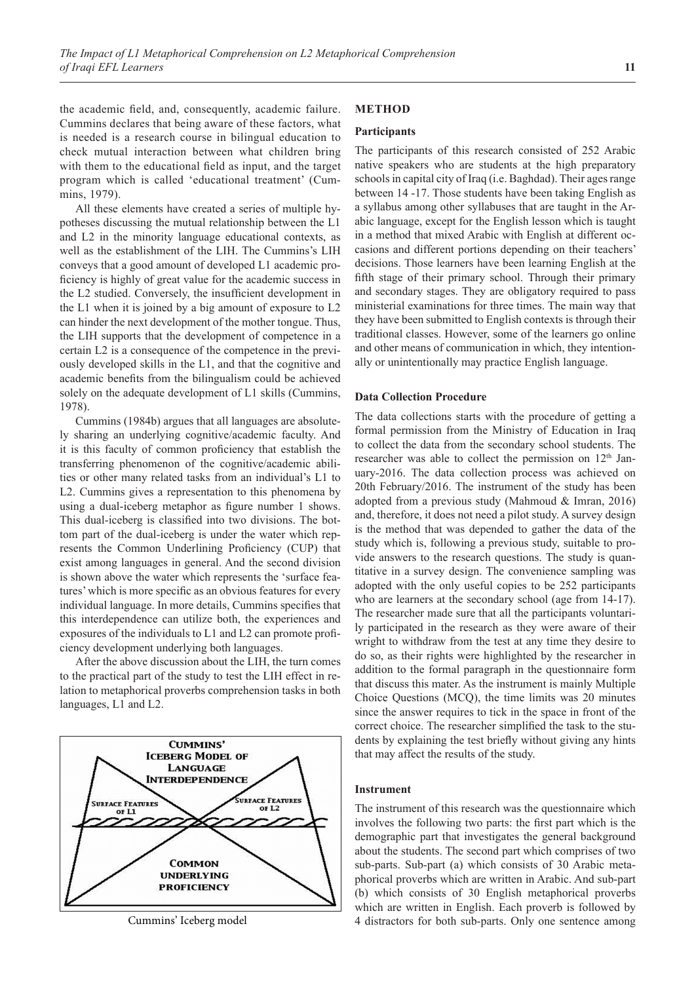the academic field, and, consequently, academic failure. Cummins declares that being aware of these factors, what is needed is a research course in bilingual education to check mutual interaction between what children bring with them to the educational field as input, and the target program which is called 'educational treatment' (Cummins, 1979).

All these elements have created a series of multiple hypotheses discussing the mutual relationship between the L1 and L2 in the minority language educational contexts, as well as the establishment of the LIH. The Cummins's LIH conveys that a good amount of developed L1 academic proficiency is highly of great value for the academic success in the L2 studied. Conversely, the insufficient development in the L1 when it is joined by a big amount of exposure to L2 can hinder the next development of the mother tongue. Thus, the LIH supports that the development of competence in a certain L2 is a consequence of the competence in the previously developed skills in the L1, and that the cognitive and academic benefits from the bilingualism could be achieved solely on the adequate development of L1 skills (Cummins, 1978).

Cummins (1984b) argues that all languages are absolutely sharing an underlying cognitive/academic faculty. And it is this faculty of common proficiency that establish the transferring phenomenon of the cognitive/academic abilities or other many related tasks from an individual's L1 to L2. Cummins gives a representation to this phenomena by using a dual-iceberg metaphor as figure number 1 shows. This dual-iceberg is classified into two divisions. The bottom part of the dual-iceberg is under the water which represents the Common Underlining Proficiency (CUP) that exist among languages in general. And the second division is shown above the water which represents the 'surface features' which is more specific as an obvious features for every individual language. In more details, Cummins specifies that this interdependence can utilize both, the experiences and exposures of the individuals to L1 and L2 can promote proficiency development underlying both languages.

After the above discussion about the LIH, the turn comes to the practical part of the study to test the LIH effect in relation to metaphorical proverbs comprehension tasks in both languages, L1 and L2.



## **METHOD**

### **Participants**

The participants of this research consisted of 252 Arabic native speakers who are students at the high preparatory schools in capital city of Iraq (i.e. Baghdad). Their ages range between 14 -17. Those students have been taking English as a syllabus among other syllabuses that are taught in the Arabic language, except for the English lesson which is taught in a method that mixed Arabic with English at different occasions and different portions depending on their teachers' decisions. Those learners have been learning English at the fifth stage of their primary school. Through their primary and secondary stages. They are obligatory required to pass ministerial examinations for three times. The main way that they have been submitted to English contexts is through their traditional classes. However, some of the learners go online and other means of communication in which, they intentionally or unintentionally may practice English language.

### **Data Collection Procedure**

The data collections starts with the procedure of getting a formal permission from the Ministry of Education in Iraq to collect the data from the secondary school students. The researcher was able to collect the permission on  $12<sup>th</sup>$  January-2016. The data collection process was achieved on 20th February/2016. The instrument of the study has been adopted from a previous study (Mahmoud & Imran, 2016) and, therefore, it does not need a pilot study. A survey design is the method that was depended to gather the data of the study which is, following a previous study, suitable to provide answers to the research questions. The study is quantitative in a survey design. The convenience sampling was adopted with the only useful copies to be 252 participants who are learners at the secondary school (age from 14-17). The researcher made sure that all the participants voluntarily participated in the research as they were aware of their wright to withdraw from the test at any time they desire to do so, as their rights were highlighted by the researcher in addition to the formal paragraph in the questionnaire form that discuss this mater. As the instrument is mainly Multiple Choice Questions (MCQ), the time limits was 20 minutes since the answer requires to tick in the space in front of the correct choice. The researcher simplified the task to the students by explaining the test briefly without giving any hints that may affect the results of the study.

### **Instrument**

The instrument of this research was the questionnaire which involves the following two parts: the first part which is the demographic part that investigates the general background about the students. The second part which comprises of two sub-parts. Sub-part (a) which consists of 30 Arabic metaphorical proverbs which are written in Arabic. And sub-part (b) which consists of 30 English metaphorical proverbs which are written in English. Each proverb is followed by Cummins' Iceberg model 4 distractors for both sub-parts. Only one sentence among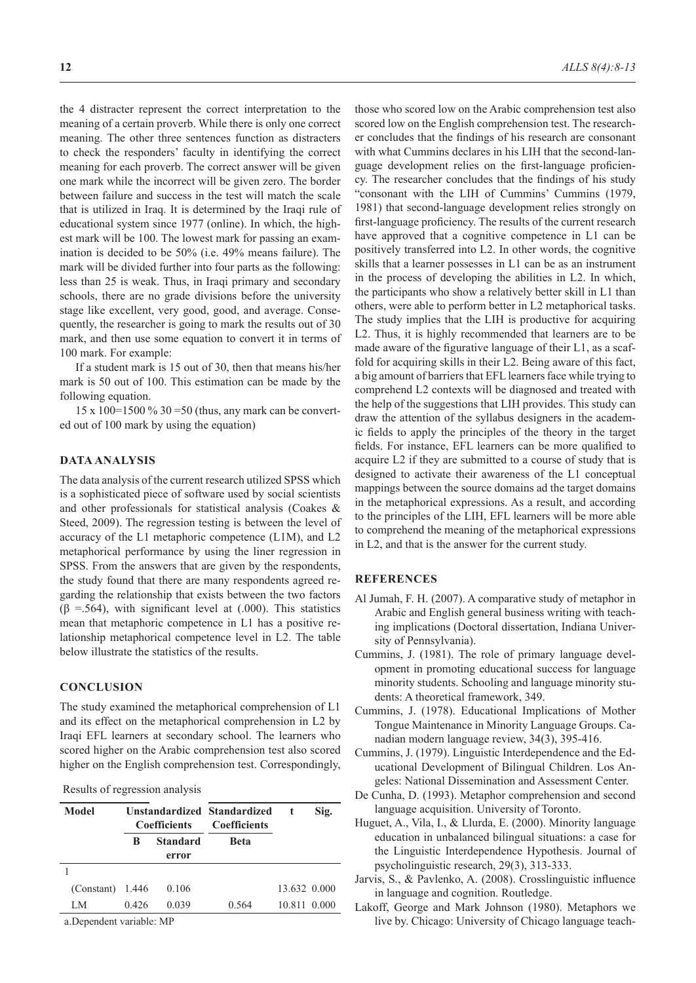the 4 distracter represent the correct interpretation to the meaning of a certain proverb. While there is only one correct meaning. The other three sentences function as distracters to check the responders' faculty in identifying the correct meaning for each proverb. The correct answer will be given one mark while the incorrect will be given zero. The border between failure and success in the test will match the scale that is utilized in Iraq. It is determined by the Iraqi rule of educational system since 1977 (online). In which, the highest mark will be 100. The lowest mark for passing an examination is decided to be 50% (i.e. 49% means failure). The mark will be divided further into four parts as the following: less than 25 is weak. Thus, in Iraqi primary and secondary schools, there are no grade divisions before the university stage like excellent, very good, good, and average. Consequently, the researcher is going to mark the results out of 30 mark, and then use some equation to convert it in terms of 100 mark. For example:

If a student mark is 15 out of 30, then that means his/her mark is 50 out of 100. This estimation can be made by the following equation.

15 x 100=1500 % 30 =50 (thus, any mark can be converted out of 100 mark by using the equation)

### **DATA ANALYSIS**

The data analysis of the current research utilized SPSS which is a sophisticated piece of software used by social scientists and other professionals for statistical analysis (Coakes & Steed, 2009). The regression testing is between the level of accuracy of the L1 metaphoric competence (L1M), and L2 metaphorical performance by using the liner regression in SPSS. From the answers that are given by the respondents, the study found that there are many respondents agreed regarding the relationship that exists between the two factors  $(\beta = .564)$ , with significant level at  $(.000)$ . This statistics mean that metaphoric competence in L1 has a positive relationship metaphorical competence level in L2. The table below illustrate the statistics of the results.

### **CONCLUSION**

The study examined the metaphorical comprehension of L1 and its effect on the metaphorical comprehension in L2 by Iraqi EFL learners at secondary school. The learners who scored higher on the Arabic comprehension test also scored higher on the English comprehension test. Correspondingly,

### Results of regression analysis

| Model              | Unstandardized Standardized<br><b>Coefficients</b> |                          | <b>Coefficients</b> | t            | Sig. |
|--------------------|----------------------------------------------------|--------------------------|---------------------|--------------|------|
|                    | B                                                  | <b>Standard</b><br>error | <b>Beta</b>         |              |      |
|                    |                                                    |                          |                     |              |      |
| $(Constant)$ 1.446 |                                                    | 0.106                    |                     | 13.632 0.000 |      |
| LM                 | 0.426                                              | 0.039                    | 0.564               | 10.811 0.000 |      |
| $\sqrt{ }$         | 1, 1, 1, 1, m                                      |                          |                     |              |      |

a.Dependent variable: MP

those who scored low on the Arabic comprehension test also scored low on the English comprehension test. The researcher concludes that the findings of his research are consonant with what Cummins declares in his LIH that the second-language development relies on the first-language proficiency. The researcher concludes that the findings of his study "consonant with the LIH of Cummins' Cummins (1979, 1981) that second-language development relies strongly on first-language proficiency. The results of the current research have approved that a cognitive competence in L1 can be positively transferred into L2. In other words, the cognitive skills that a learner possesses in L1 can be as an instrument in the process of developing the abilities in L2. In which, the participants who show a relatively better skill in L1 than others, were able to perform better in L2 metaphorical tasks. The study implies that the LIH is productive for acquiring L2. Thus, it is highly recommended that learners are to be made aware of the figurative language of their L1, as a scaffold for acquiring skills in their L2. Being aware of this fact, a big amount of barriers that EFL learners face while trying to comprehend L2 contexts will be diagnosed and treated with the help of the suggestions that LIH provides. This study can draw the attention of the syllabus designers in the academic fields to apply the principles of the theory in the target fields. For instance, EFL learners can be more qualified to acquire L2 if they are submitted to a course of study that is designed to activate their awareness of the L1 conceptual mappings between the source domains ad the target domains in the metaphorical expressions. As a result, and according to the principles of the LIH, EFL learners will be more able to comprehend the meaning of the metaphorical expressions in L2, and that is the answer for the current study.

### **REFERENCES**

- Al Jumah, F. H. (2007). A comparative study of metaphor in Arabic and English general business writing with teaching implications (Doctoral dissertation, Indiana University of Pennsylvania).
- Cummins, J. (1981). The role of primary language development in promoting educational success for language minority students. Schooling and language minority students: A theoretical framework, 349.
- Cummins, J. (1978). Educational Implications of Mother Tongue Maintenance in Minority Language Groups. Canadian modern language review, 34(3), 395-416.
- Cummins, J. (1979). Linguistic Interdependence and the Educational Development of Bilingual Children. Los Angeles: National Dissemination and Assessment Center.
- De Cunha, D. (1993). Metaphor comprehension and second language acquisition. University of Toronto.
- Huguet, A., Vila, I., & Llurda, E. (2000). Minority language education in unbalanced bilingual situations: a case for the Linguistic Interdependence Hypothesis. Journal of psycholinguistic research, 29(3), 313-333.
- Jarvis, S., & Pavlenko, A. (2008). Crosslinguistic influence in language and cognition. Routledge.
- Lakoff, George and Mark Johnson (1980). Metaphors we live by. Chicago: University of Chicago language teach-